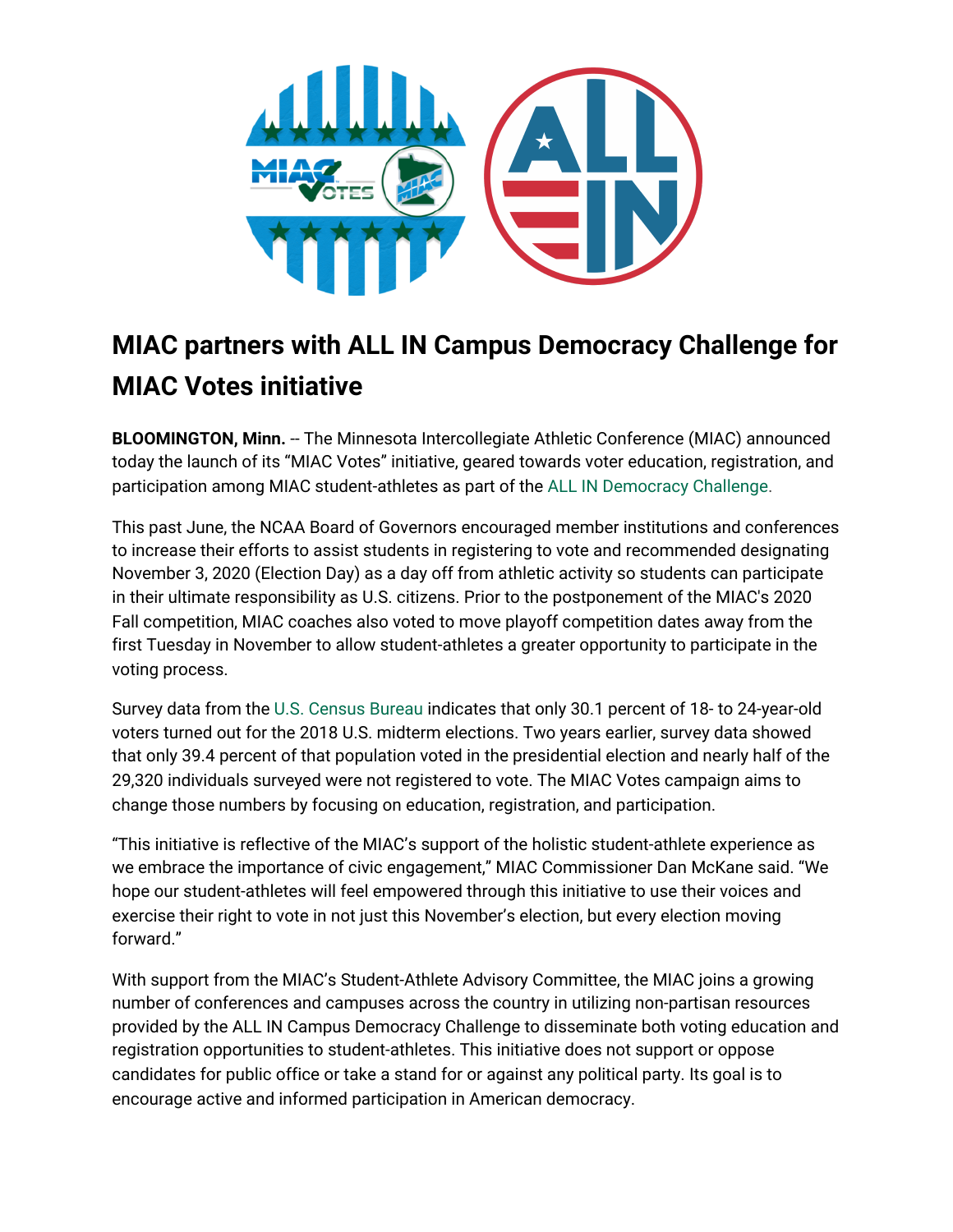

## **MIAC partners with ALL IN Campus Democracy Challenge for MIAC Votes initiative**

**BLOOMINGTON, Minn.** -- The Minnesota Intercollegiate Athletic Conference (MIAC) announced today the launch of its "MIAC Votes" initiative, geared towards voter education, registration, and participation among MIAC student-athletes as part of the ALL IN [Democracy](https://www.allinchallenge.org/) Challenge.

This past June, the NCAA Board of Governors encouraged member institutions and conferences to increase their efforts to assist students in registering to vote and recommended designating November 3, 2020 (Election Day) as a day off from athletic activity so students can participate in their ultimate responsibility as U.S. citizens. Prior to the postponement of the MIAC's 2020 Fall competition, MIAC coaches also voted to move playoff competition dates away from the first Tuesday in November to allow student-athletes a greater opportunity to participate in the voting process.

Survey data from the U.S. [Census](https://www.census.gov/data/tables/time-series/demo/voting-and-registration/p20-583.html) Bureau indicates that only 30.1 percent of 18- to 24-year-old voters turned out for the 2018 U.S. midterm elections. Two years earlier, survey data [showed](https://www.census.gov/data/tables/time-series/demo/voting-and-registration/p20-580.html) that only 39.4 percent of that population voted in the presidential election and nearly half of the 29,320 individuals surveyed were not registered to vote. The MIAC Votes campaign aims to change those numbers by focusing on education, registration, and participation.

"This initiative is reflective of the MIAC's support of the holistic student-athlete experience as we embrace the importance of civic engagement," MIAC Commissioner Dan McKane said. "We hope our student-athletes will feel empowered through this initiative to use their voices and exercise their right to vote in not just this November's election, but every election moving forward."

With support from the MIAC's Student-Athlete Advisory Committee, the MIAC joins a growing number of conferences and campuses across the country in utilizing non-partisan resources provided by the ALL IN Campus Democracy Challenge to disseminate both voting education and registration opportunities to student-athletes. This initiative does not support or oppose candidates for public office or take a stand for or against any political party. Its goal is to encourage active and informed participation in American democracy.